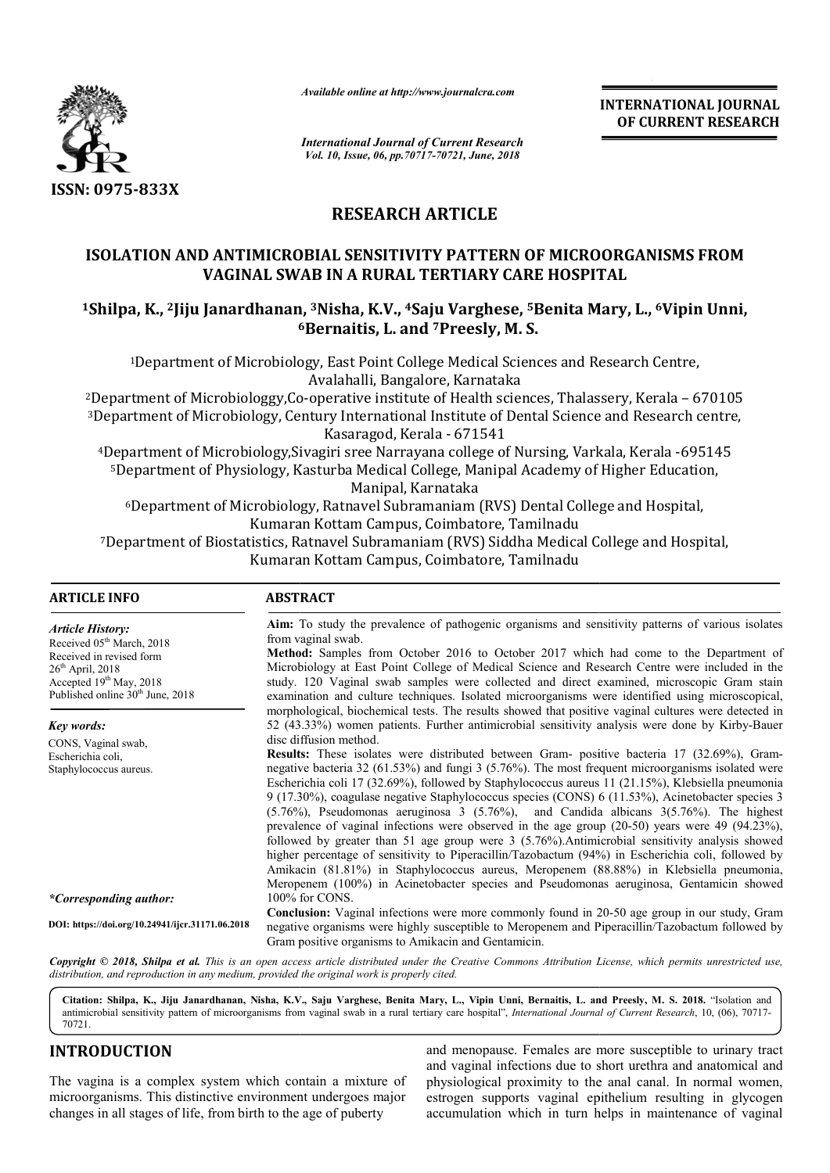

*Available online at http://www.journalcra.com*

## **RESEARCH ARTICLE**

# **ISOLATION AND ANTIMICROBIAL SENSITIVITY PATTERN OF MICROORGANISMS FROM VAGINAL SWAB IN A RURAL TERTIARY CARE HOSPITAL 1SOLATION AND ANTIMICROBIAL SENSITIVITY PATTERN OF MICROORGANISMS FROM**<br>VAGINAL SWAB IN A RURAL TERTIARY CARE HOSPITAL<br><sup>1</sup>Shilpa, K., <sup>2</sup>Jiju Janardhanan, <sup>3</sup>Nisha, K.V., <sup>4</sup>Saju Varghese, <sup>5</sup>Benita Mary, L., <sup>6</sup>Vipin Unn

|                                                                                                                                                                                                                                                                                                                                          | -глинион опине игтир.//www.journuicru.com                                                                                                                                                                                                                                                                                                                                                                                                                                                                                                                                                                                                                                                                                                                                                                                                                                                                                                                                                                                                                                                                                                           |                                                                                                                                                                                                                       | <b>INTERNATIONAL JOURNAL</b><br>OF CURRENT RESEARCH                                                                                                                                                                                                                                                                                                                                                                                                                                                                                                                                                    |  |
|------------------------------------------------------------------------------------------------------------------------------------------------------------------------------------------------------------------------------------------------------------------------------------------------------------------------------------------|-----------------------------------------------------------------------------------------------------------------------------------------------------------------------------------------------------------------------------------------------------------------------------------------------------------------------------------------------------------------------------------------------------------------------------------------------------------------------------------------------------------------------------------------------------------------------------------------------------------------------------------------------------------------------------------------------------------------------------------------------------------------------------------------------------------------------------------------------------------------------------------------------------------------------------------------------------------------------------------------------------------------------------------------------------------------------------------------------------------------------------------------------------|-----------------------------------------------------------------------------------------------------------------------------------------------------------------------------------------------------------------------|--------------------------------------------------------------------------------------------------------------------------------------------------------------------------------------------------------------------------------------------------------------------------------------------------------------------------------------------------------------------------------------------------------------------------------------------------------------------------------------------------------------------------------------------------------------------------------------------------------|--|
|                                                                                                                                                                                                                                                                                                                                          | <b>International Journal of Current Research</b><br>Vol. 10, Issue, 06, pp.70717-70721, June, 2018                                                                                                                                                                                                                                                                                                                                                                                                                                                                                                                                                                                                                                                                                                                                                                                                                                                                                                                                                                                                                                                  |                                                                                                                                                                                                                       |                                                                                                                                                                                                                                                                                                                                                                                                                                                                                                                                                                                                        |  |
| ISSN: 0975-833X                                                                                                                                                                                                                                                                                                                          |                                                                                                                                                                                                                                                                                                                                                                                                                                                                                                                                                                                                                                                                                                                                                                                                                                                                                                                                                                                                                                                                                                                                                     |                                                                                                                                                                                                                       |                                                                                                                                                                                                                                                                                                                                                                                                                                                                                                                                                                                                        |  |
|                                                                                                                                                                                                                                                                                                                                          | <b>RESEARCH ARTICLE</b>                                                                                                                                                                                                                                                                                                                                                                                                                                                                                                                                                                                                                                                                                                                                                                                                                                                                                                                                                                                                                                                                                                                             |                                                                                                                                                                                                                       |                                                                                                                                                                                                                                                                                                                                                                                                                                                                                                                                                                                                        |  |
| <b>ISOLATION AND ANTIMICROBIAL SENSITIVITY PATTERN OF MICROORGANISMS FROM</b>                                                                                                                                                                                                                                                            |                                                                                                                                                                                                                                                                                                                                                                                                                                                                                                                                                                                                                                                                                                                                                                                                                                                                                                                                                                                                                                                                                                                                                     | VAGINAL SWAB IN A RURAL TERTIARY CARE HOSPITAL                                                                                                                                                                        |                                                                                                                                                                                                                                                                                                                                                                                                                                                                                                                                                                                                        |  |
| <sup>1</sup> Shilpa, K., <sup>2</sup> Jiju Janardhanan, <sup>3</sup> Nisha, K.V., <sup>4</sup> Saju Varghese, <sup>5</sup> Benita Mary, L., <sup>6</sup> Vipin Unni,                                                                                                                                                                     | <sup>6</sup> Bernaitis, L. and <sup>7</sup> Preesly, M. S.                                                                                                                                                                                                                                                                                                                                                                                                                                                                                                                                                                                                                                                                                                                                                                                                                                                                                                                                                                                                                                                                                          |                                                                                                                                                                                                                       |                                                                                                                                                                                                                                                                                                                                                                                                                                                                                                                                                                                                        |  |
|                                                                                                                                                                                                                                                                                                                                          |                                                                                                                                                                                                                                                                                                                                                                                                                                                                                                                                                                                                                                                                                                                                                                                                                                                                                                                                                                                                                                                                                                                                                     | <sup>1</sup> Department of Microbiology, East Point College Medical Sciences and Research Centre,                                                                                                                     |                                                                                                                                                                                                                                                                                                                                                                                                                                                                                                                                                                                                        |  |
| <sup>2</sup> Department of Microbiologgy, Co-operative institute of Health sciences, Thalassery, Kerala – 670105<br><sup>3</sup> Department of Microbiology, Century International Institute of Dental Science and Research centre,                                                                                                      | Avalahalli, Bangalore, Karnataka<br>Kasaragod, Kerala - 671541                                                                                                                                                                                                                                                                                                                                                                                                                                                                                                                                                                                                                                                                                                                                                                                                                                                                                                                                                                                                                                                                                      |                                                                                                                                                                                                                       |                                                                                                                                                                                                                                                                                                                                                                                                                                                                                                                                                                                                        |  |
|                                                                                                                                                                                                                                                                                                                                          | Manipal, Karnataka                                                                                                                                                                                                                                                                                                                                                                                                                                                                                                                                                                                                                                                                                                                                                                                                                                                                                                                                                                                                                                                                                                                                  | <sup>4</sup> Department of Microbiology, Sivagiri sree Narrayana college of Nursing, Varkala, Kerala -695145<br><sup>5</sup> Department of Physiology, Kasturba Medical College, Manipal Academy of Higher Education, |                                                                                                                                                                                                                                                                                                                                                                                                                                                                                                                                                                                                        |  |
|                                                                                                                                                                                                                                                                                                                                          | Kumaran Kottam Campus, Coimbatore, Tamilnadu<br>Kumaran Kottam Campus, Coimbatore, Tamilnadu                                                                                                                                                                                                                                                                                                                                                                                                                                                                                                                                                                                                                                                                                                                                                                                                                                                                                                                                                                                                                                                        | <sup>6</sup> Department of Microbiology, Ratnavel Subramaniam (RVS) Dental College and Hospital,<br><sup>7</sup> Department of Biostatistics, Ratnavel Subramaniam (RVS) Siddha Medical College and Hospital,         |                                                                                                                                                                                                                                                                                                                                                                                                                                                                                                                                                                                                        |  |
| <b>ARTICLE INFO</b>                                                                                                                                                                                                                                                                                                                      | <b>ABSTRACT</b>                                                                                                                                                                                                                                                                                                                                                                                                                                                                                                                                                                                                                                                                                                                                                                                                                                                                                                                                                                                                                                                                                                                                     |                                                                                                                                                                                                                       |                                                                                                                                                                                                                                                                                                                                                                                                                                                                                                                                                                                                        |  |
| <b>Article History:</b><br>Received 05 <sup>th</sup> March, 2018<br>Received in revised form<br>26 <sup>th</sup> April, 2018<br>Accepted 19th May, 2018<br>Published online 30 <sup>th</sup> June, 2018<br>Key words:                                                                                                                    | from vaginal swab.                                                                                                                                                                                                                                                                                                                                                                                                                                                                                                                                                                                                                                                                                                                                                                                                                                                                                                                                                                                                                                                                                                                                  |                                                                                                                                                                                                                       | Aim: To study the prevalence of pathogenic organisms and sensitivity patterns of various isolates<br>Method: Samples from October 2016 to October 2017 which had come to the Department of<br>Microbiology at East Point College of Medical Science and Research Centre were included in the<br>study. 120 Vaginal swab samples were collected and direct examined, microscopic Gram stain<br>examination and culture techniques. Isolated microorganisms were identified using microscopical,<br>morphological, biochemical tests. The results showed that positive vaginal cultures were detected in |  |
| CONS, Vaginal swab,<br>Escherichia coli,<br>Staphylococcus aureus.                                                                                                                                                                                                                                                                       | 52 (43.33%) women patients. Further antimicrobial sensitivity analysis were done by Kirby-Bauer<br>disc diffusion method.<br>Results: These isolates were distributed between Gram- positive bacteria 17 (32.69%), Gram-<br>negative bacteria 32 (61.53%) and fungi 3 (5.76%). The most frequent microorganisms isolated were<br>Escherichia coli 17 (32.69%), followed by Staphylococcus aureus 11 (21.15%), Klebsiella pneumonia<br>9 (17.30%), coagulase negative Staphylococcus species (CONS) 6 (11.53%), Acinetobacter species 3<br>$(5.76\%)$ , Pseudomonas aeruginosa 3 $(5.76\%)$ , and Candida albicans $3(5.76\%)$ . The highest<br>prevalence of vaginal infections were observed in the age group $(20-50)$ years were 49 $(94.23\%)$ ,<br>followed by greater than 51 age group were 3 (5.76%). Antimicrobial sensitivity analysis showed<br>higher percentage of sensitivity to Piperacillin/Tazobactum (94%) in Escherichia coli, followed by<br>Amikacin (81.81%) in Staphylococcus aureus, Meropenem (88.88%) in Klebsiella pneumonia,<br>Meropenem (100%) in Acinetobacter species and Pseudomonas aeruginosa, Gentamicin showed |                                                                                                                                                                                                                       |                                                                                                                                                                                                                                                                                                                                                                                                                                                                                                                                                                                                        |  |
| *Corresponding author:                                                                                                                                                                                                                                                                                                                   | 100% for CONS.                                                                                                                                                                                                                                                                                                                                                                                                                                                                                                                                                                                                                                                                                                                                                                                                                                                                                                                                                                                                                                                                                                                                      |                                                                                                                                                                                                                       |                                                                                                                                                                                                                                                                                                                                                                                                                                                                                                                                                                                                        |  |
| DOI: https://doi.org/10.24941/ijcr.31171.06.2018                                                                                                                                                                                                                                                                                         | Conclusion: Vaginal infections were more commonly found in 20-50 age group in our study, Gram<br>negative organisms were highly susceptible to Meropenem and Piperacillin/Tazobactum followed by<br>Gram positive organisms to Amikacin and Gentamicin.                                                                                                                                                                                                                                                                                                                                                                                                                                                                                                                                                                                                                                                                                                                                                                                                                                                                                             |                                                                                                                                                                                                                       |                                                                                                                                                                                                                                                                                                                                                                                                                                                                                                                                                                                                        |  |
| Copyright © 2018, Shilpa et al. This is an open access article distributed under the Creative Commons Attribution License, which permits unrestricted use,<br>distribution, and reproduction in any medium, provided the original work is properly cited.                                                                                |                                                                                                                                                                                                                                                                                                                                                                                                                                                                                                                                                                                                                                                                                                                                                                                                                                                                                                                                                                                                                                                                                                                                                     |                                                                                                                                                                                                                       |                                                                                                                                                                                                                                                                                                                                                                                                                                                                                                                                                                                                        |  |
| Citation: Shilpa, K., Jiju Janardhanan, Nisha, K.V., Saju Varghese, Benita Mary, L., Vipin Unni, Bernaitis, L. and Preesly, M. S. 2018. "Isolation and<br>antimicrobial sensitivity pattern of microorganisms from vaginal swab in a rural tertiary care hospital", International Journal of Current Research, 10, (06), 70717-<br>70721 |                                                                                                                                                                                                                                                                                                                                                                                                                                                                                                                                                                                                                                                                                                                                                                                                                                                                                                                                                                                                                                                                                                                                                     |                                                                                                                                                                                                                       |                                                                                                                                                                                                                                                                                                                                                                                                                                                                                                                                                                                                        |  |
| <b>INTRODUCTION</b>                                                                                                                                                                                                                                                                                                                      |                                                                                                                                                                                                                                                                                                                                                                                                                                                                                                                                                                                                                                                                                                                                                                                                                                                                                                                                                                                                                                                                                                                                                     |                                                                                                                                                                                                                       | and menopause. Females are more susceptible to urinary tract                                                                                                                                                                                                                                                                                                                                                                                                                                                                                                                                           |  |
| The vagina is a complex system which contain a mixture of<br>microorganisms. This distinctive environment undergoes major<br>changes in all stages of life, from birth to the age of puberty                                                                                                                                             |                                                                                                                                                                                                                                                                                                                                                                                                                                                                                                                                                                                                                                                                                                                                                                                                                                                                                                                                                                                                                                                                                                                                                     |                                                                                                                                                                                                                       | and vaginal infections due to short urethra and anatomical and<br>physiological proximity to the anal canal. In normal women,<br>estrogen supports vaginal epithelium resulting in glycogen<br>accumulation which in turn helps in maintenance of vaginal                                                                                                                                                                                                                                                                                                                                              |  |

## **INTRODUCTION**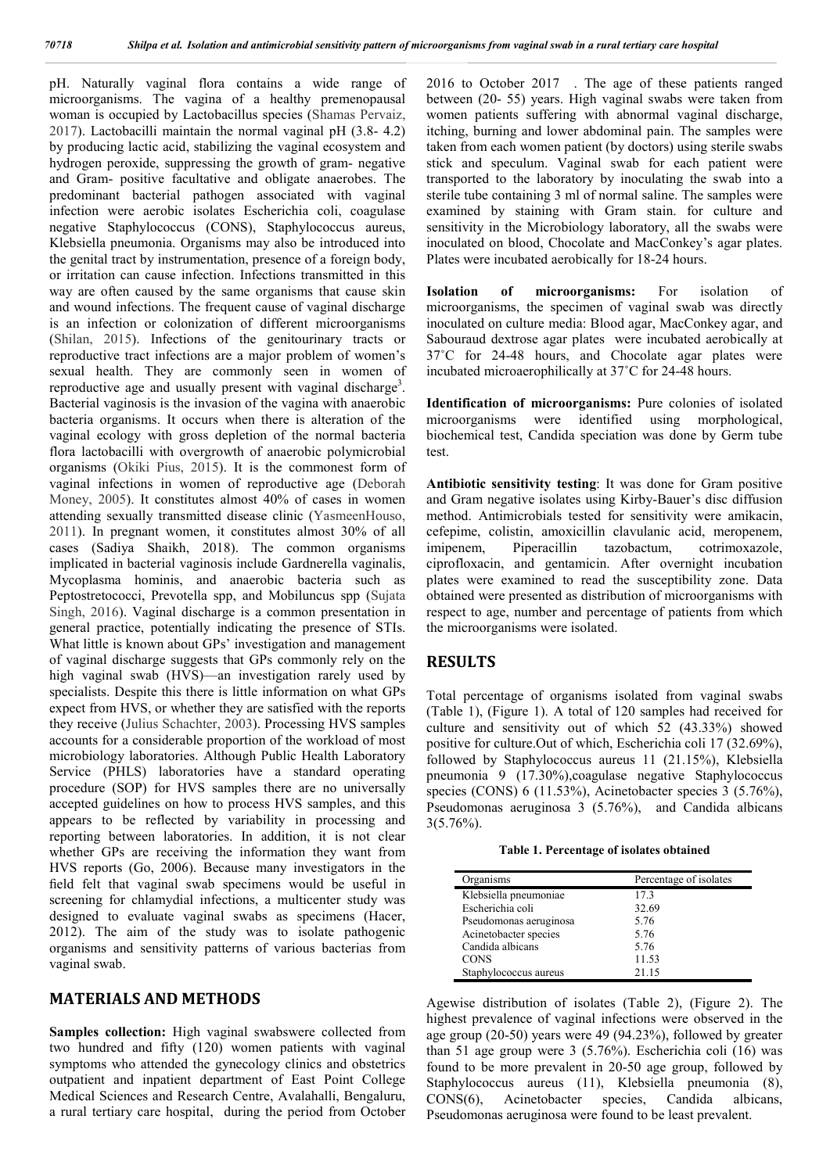pH. Naturally vaginal flora contains a wide range of microorganisms. The vagina of a healthy premenopausal woman is occupied by Lactobacillus species (Shamas Pervaiz, 2017). Lactobacilli maintain the normal vaginal pH (3.8- 4.2) by producing lactic acid, stabilizing the vaginal ecosystem and hydrogen peroxide, suppressing the growth of gram- negative and Gram- positive facultative and obligate anaerobes. The predominant bacterial pathogen associated with vaginal infection were aerobic isolates Escherichia coli, coagulase negative Staphylococcus (CONS), Staphylococcus aureus, Klebsiella pneumonia. Organisms may also be introduced into the genital tract by instrumentation, presence of a foreign body, or irritation can cause infection. Infections transmitted in this way are often caused by the same organisms that cause skin and wound infections. The frequent cause of vaginal discharge is an infection or colonization of different microorganisms (Shilan, 2015). Infections of the genitourinary tracts or reproductive tract infections are a major problem of women's sexual health. They are commonly seen in women of reproductive age and usually present with vaginal discharge<sup>3</sup>. Bacterial vaginosis is the invasion of the vagina with anaerobic bacteria organisms. It occurs when there is alteration of the vaginal ecology with gross depletion of the normal bacteria flora lactobacilli with overgrowth of anaerobic polymicrobial organisms (Okiki Pius, 2015). It is the commonest form of vaginal infections in women of reproductive age (Deborah Money, 2005). It constitutes almost 40% of cases in women attending sexually transmitted disease clinic (YasmeenHouso, 2011). In pregnant women, it constitutes almost 30% of all cases (Sadiya Shaikh, 2018). The common organisms implicated in bacterial vaginosis include Gardnerella vaginalis, Mycoplasma hominis, and anaerobic bacteria such as Peptostretococci, Prevotella spp, and Mobiluncus spp (Sujata Singh, 2016). Vaginal discharge is a common presentation in general practice, potentially indicating the presence of STIs. What little is known about GPs' investigation and management of vaginal discharge suggests that GPs commonly rely on the high vaginal swab (HVS)—an investigation rarely used by specialists. Despite this there is little information on what GPs expect from HVS, or whether they are satisfied with the reports they receive (Julius Schachter, 2003). Processing HVS samples accounts for a considerable proportion of the workload of most microbiology laboratories. Although Public Health Laboratory Service (PHLS) laboratories have a standard operating procedure (SOP) for HVS samples there are no universally accepted guidelines on how to process HVS samples, and this appears to be reflected by variability in processing and reporting between laboratories. In addition, it is not clear whether GPs are receiving the information they want from HVS reports (Go, 2006). Because many investigators in the field felt that vaginal swab specimens would be useful in screening for chlamydial infections, a multicenter study was designed to evaluate vaginal swabs as specimens (Hacer, 2012). The aim of the study was to isolate pathogenic organisms and sensitivity patterns of various bacterias from vaginal swab.

#### **MATERIALS AND METHODS**

**Samples collection:** High vaginal swabswere collected from two hundred and fifty (120) women patients with vaginal symptoms who attended the gynecology clinics and obstetrics outpatient and inpatient department of East Point College Medical Sciences and Research Centre, Avalahalli, Bengaluru, a rural tertiary care hospital, during the period from October

2016 to October 2017 . The age of these patients ranged between (20- 55) years. High vaginal swabs were taken from women patients suffering with abnormal vaginal discharge, itching, burning and lower abdominal pain. The samples were taken from each women patient (by doctors) using sterile swabs stick and speculum. Vaginal swab for each patient were transported to the laboratory by inoculating the swab into a sterile tube containing 3 ml of normal saline. The samples were examined by staining with Gram stain. for culture and sensitivity in the Microbiology laboratory, all the swabs were inoculated on blood, Chocolate and MacConkey's agar plates. Plates were incubated aerobically for 18-24 hours.

**Isolation of microorganisms:** For isolation of microorganisms, the specimen of vaginal swab was directly inoculated on culture media: Blood agar, MacConkey agar, and Sabouraud dextrose agar plates were incubated aerobically at 37˚C for 24-48 hours, and Chocolate agar plates were incubated microaerophilically at 37˚C for 24-48 hours.

**Identification of microorganisms:** Pure colonies of isolated microorganisms were identified using morphological, biochemical test, Candida speciation was done by Germ tube test.

**Antibiotic sensitivity testing**: It was done for Gram positive and Gram negative isolates using Kirby-Bauer's disc diffusion method. Antimicrobials tested for sensitivity were amikacin, cefepime, colistin, amoxicillin clavulanic acid, meropenem, imipenem, Piperacillin tazobactum, cotrimoxazole, ciprofloxacin, and gentamicin. After overnight incubation plates were examined to read the susceptibility zone. Data obtained were presented as distribution of microorganisms with respect to age, number and percentage of patients from which the microorganisms were isolated.

#### **RESULTS**

Total percentage of organisms isolated from vaginal swabs (Table 1), (Figure 1). A total of 120 samples had received for culture and sensitivity out of which 52 (43.33%) showed positive for culture.Out of which, Escherichia coli 17 (32.69%), followed by Staphylococcus aureus 11 (21.15%), Klebsiella pneumonia 9 (17.30%),coagulase negative Staphylococcus species (CONS) 6 (11.53%), Acinetobacter species 3 (5.76%), Pseudomonas aeruginosa 3 (5.76%), and Candida albicans 3(5.76%).

|  | Table 1. Percentage of isolates obtained |  |  |
|--|------------------------------------------|--|--|
|--|------------------------------------------|--|--|

| Organisms              | Percentage of isolates |
|------------------------|------------------------|
| Klebsiella pneumoniae  | 17.3                   |
| Escherichia coli       | 32.69                  |
| Pseudomonas aeruginosa | 5.76                   |
| Acinetobacter species  | 5.76                   |
| Candida albicans       | 5.76                   |
| <b>CONS</b>            | 11.53                  |
| Staphylococcus aureus  | 21.15                  |

Agewise distribution of isolates (Table 2), (Figure 2). The highest prevalence of vaginal infections were observed in the age group (20-50) years were 49 (94.23%), followed by greater than 51 age group were 3 (5.76%). Escherichia coli (16) was found to be more prevalent in 20-50 age group, followed by Staphylococcus aureus (11), Klebsiella pneumonia (8), CONS(6), Acinetobacter species, Candida albicans, Pseudomonas aeruginosa were found to be least prevalent.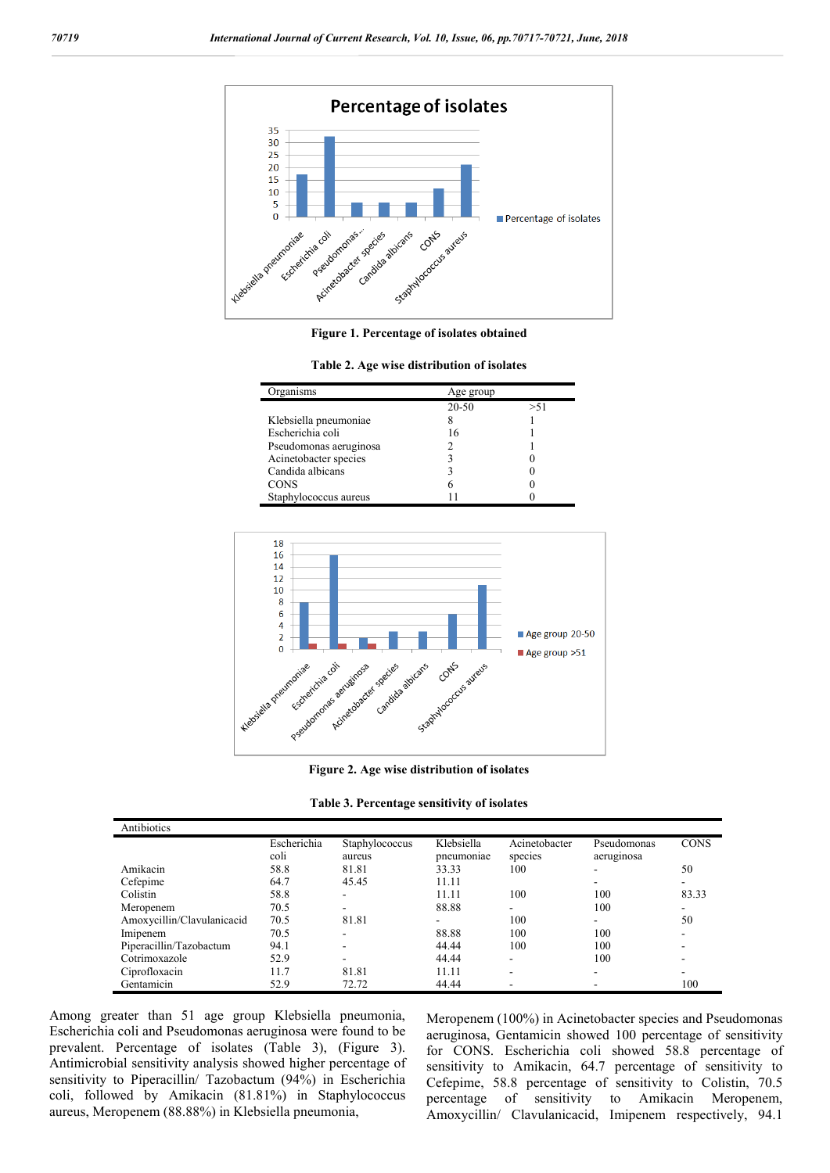

**Figure 1. Percentage of isolates obtained**

| Organisms              | Age group |      |
|------------------------|-----------|------|
|                        | 20-50     | > 51 |
| Klebsiella pneumoniae  |           |      |
| Escherichia coli       | 16        |      |
| Pseudomonas aeruginosa |           |      |
| Acinetobacter species  |           |      |
| Candida albicans       |           |      |
| <b>CONS</b>            |           |      |
| Staphylococcus aureus  |           |      |



**Figure 2. Age wise distribution of isolates**

| Table 3. Percentage sensitivity of isolates |  |  |  |
|---------------------------------------------|--|--|--|
|---------------------------------------------|--|--|--|

| Antibiotics                |             |                          |            |               |             |             |
|----------------------------|-------------|--------------------------|------------|---------------|-------------|-------------|
|                            | Escherichia | Staphylococcus           | Klebsiella | Acinetobacter | Pseudomonas | <b>CONS</b> |
|                            | coli        | aureus                   | pneumoniae | species       | aeruginosa  |             |
| Amikacin                   | 58.8        | 81.81                    | 33.33      | 100           |             | 50          |
| Cefepime                   | 64.7        | 45.45                    | 11.11      |               |             |             |
| Colistin                   | 58.8        | $\overline{\phantom{a}}$ | 11.11      | 100           | 100         | 83.33       |
| Meropenem                  | 70.5        | ۰                        | 88.88      |               | 100         |             |
| Amoxycillin/Clavulanicacid | 70.5        | 81.81                    |            | 100           |             | 50          |
| Imipenem                   | 70.5        | ۰                        | 88.88      | 100           | 100         |             |
| Piperacillin/Tazobactum    | 94.1        | $\overline{\phantom{0}}$ | 44.44      | 100           | 100         |             |
| Cotrimoxazole              | 52.9        | ۰                        | 44.44      |               | 100         |             |
| Ciprofloxacin              | 11.7        | 81.81                    | 11.11      |               | -           |             |
| Gentamicin                 | 52.9        | 72.72                    | 44.44      |               |             | 100         |

Among greater than 51 age group Klebsiella pneumonia, Escherichia coli and Pseudomonas aeruginosa were found to be prevalent. Percentage of isolates (Table 3), (Figure 3). Antimicrobial sensitivity analysis showed higher percentage of sensitivity to Piperacillin/ Tazobactum (94%) in Escherichia coli, followed by Amikacin (81.81%) in Staphylococcus aureus, Meropenem (88.88%) in Klebsiella pneumonia,

Meropenem (100%) in Acinetobacter species and Pseudomonas aeruginosa, Gentamicin showed 100 percentage of sensitivity for CONS. Escherichia coli showed 58.8 percentage of sensitivity to Amikacin, 64.7 percentage of sensitivity to Cefepime, 58.8 percentage of sensitivity to Colistin, 70.5 percentage of sensitivity to Amikacin Meropenem, Amoxycillin/ Clavulanicacid, Imipenem respectively, 94.1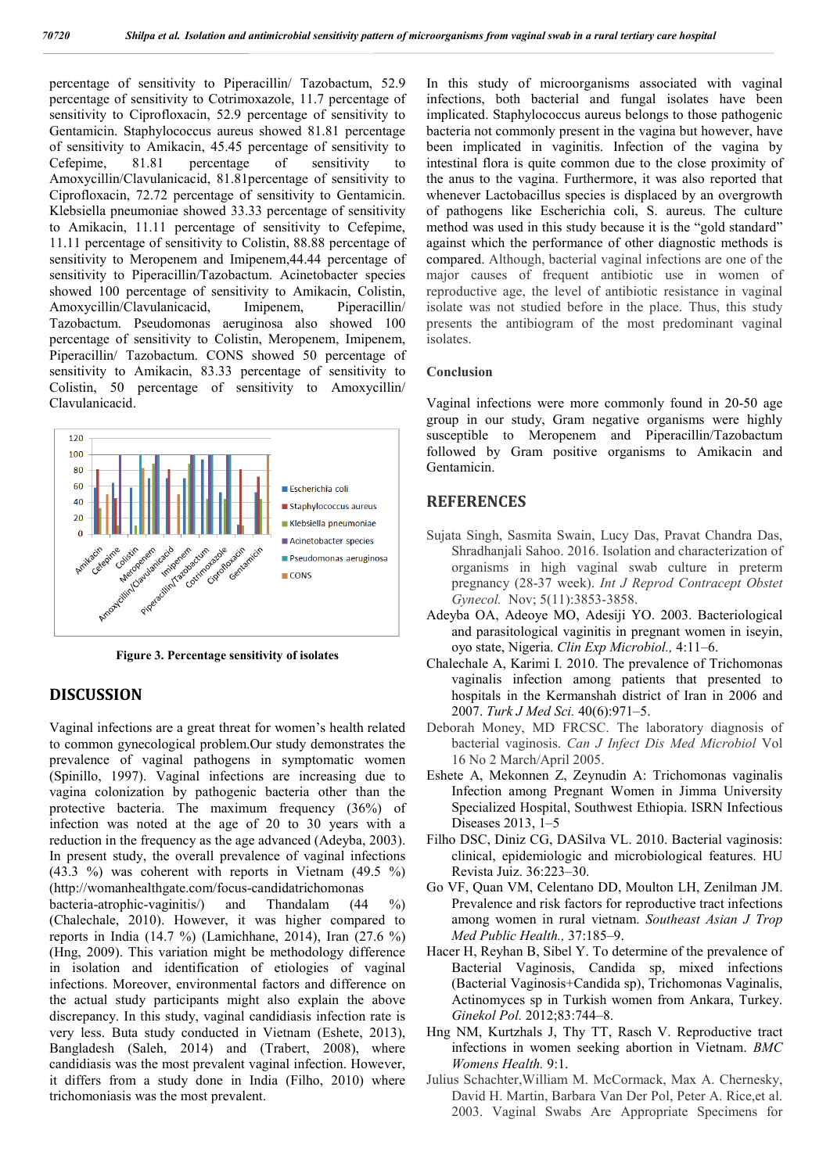percentage of sensitivity to Piperacillin/ Tazobactum, 52.9 percentage of sensitivity to Cotrimoxazole, 11.7 percentage of sensitivity to Ciprofloxacin, 52.9 percentage of sensitivity to Gentamicin. Staphylococcus aureus showed 81.81 percentage of sensitivity to Amikacin, 45.45 percentage of sensitivity to Cefepime, 81.81 percentage of sensitivity to Amoxycillin/Clavulanicacid, 81.81percentage of sensitivity to Ciprofloxacin, 72.72 percentage of sensitivity to Gentamicin. Klebsiella pneumoniae showed 33.33 percentage of sensitivity to Amikacin, 11.11 percentage of sensitivity to Cefepime, 11.11 percentage of sensitivity to Colistin, 88.88 percentage of sensitivity to Meropenem and Imipenem,44.44 percentage of sensitivity to Piperacillin/Tazobactum. Acinetobacter species showed 100 percentage of sensitivity to Amikacin, Colistin, Amoxycillin/Clavulanicacid, Imipenem, Piperacillin/ Tazobactum. Pseudomonas aeruginosa also showed 100 percentage of sensitivity to Colistin, Meropenem, Imipenem, Piperacillin/ Tazobactum. CONS showed 50 percentage of sensitivity to Amikacin, 83.33 percentage of sensitivity to Colistin, 50 percentage of sensitivity to Amoxycillin/ Clavulanicacid.



**Figure 3. Percentage sensitivity of isolates**

### **DISCUSSION**

Vaginal infections are a great threat for women's health related to common gynecological problem.Our study demonstrates the prevalence of vaginal pathogens in symptomatic women (Spinillo, 1997). Vaginal infections are increasing due to vagina colonization by pathogenic bacteria other than the protective bacteria. The maximum frequency (36%) of infection was noted at the age of 20 to 30 years with a reduction in the frequency as the age advanced (Adeyba, 2003). In present study, the overall prevalence of vaginal infections (43.3 %) was coherent with reports in Vietnam (49.5 %) (http://womanhealthgate.com/focus-candidatrichomonas

bacteria-atrophic-vaginitis/) and Thandalam (44 %) (Chalechale, 2010). However, it was higher compared to reports in India (14.7 %) (Lamichhane, 2014), Iran (27.6 %) (Hng, 2009). This variation might be methodology difference in isolation and identification of etiologies of vaginal infections. Moreover, environmental factors and difference on the actual study participants might also explain the above discrepancy. In this study, vaginal candidiasis infection rate is very less. Buta study conducted in Vietnam (Eshete, 2013), Bangladesh (Saleh, 2014) and (Trabert, 2008), where candidiasis was the most prevalent vaginal infection. However, it differs from a study done in India (Filho, 2010) where trichomoniasis was the most prevalent.

In this study of microorganisms associated with vaginal infections, both bacterial and fungal isolates have been implicated. Staphylococcus aureus belongs to those pathogenic bacteria not commonly present in the vagina but however, have been implicated in vaginitis. Infection of the vagina by intestinal flora is quite common due to the close proximity of the anus to the vagina. Furthermore, it was also reported that whenever Lactobacillus species is displaced by an overgrowth of pathogens like Escherichia coli, S. aureus. The culture method was used in this study because it is the "gold standard" against which the performance of other diagnostic methods is compared. Although, bacterial vaginal infections are one of the major causes of frequent antibiotic use in women of reproductive age, the level of antibiotic resistance in vaginal isolate was not studied before in the place. Thus, this study presents the antibiogram of the most predominant vaginal isolates.

#### **Conclusion**

Vaginal infections were more commonly found in 20-50 age group in our study, Gram negative organisms were highly susceptible to Meropenem and Piperacillin/Tazobactum followed by Gram positive organisms to Amikacin and Gentamicin.

#### **REFERENCES**

- Sujata Singh, Sasmita Swain, Lucy Das, Pravat Chandra Das, Shradhanjali Sahoo. 2016. Isolation and characterization of organisms in high vaginal swab culture in preterm pregnancy (28-37 week). *Int J Reprod Contracept Obstet Gynecol.* Nov; 5(11):3853-3858.
- Adeyba OA, Adeoye MO, Adesiji YO. 2003. Bacteriological and parasitological vaginitis in pregnant women in iseyin, oyo state, Nigeria. *Clin Exp Microbiol.,* 4:11–6.
- Chalechale A, Karimi I. 2010. The prevalence of Trichomonas vaginalis infection among patients that presented to hospitals in the Kermanshah district of Iran in 2006 and 2007. *Turk J Med Sci.* 40(6):971–5.
- Deborah Money, MD FRCSC. The laboratory diagnosis of bacterial vaginosis. *Can J Infect Dis Med Microbiol* Vol 16 No 2 March/April 2005.
- Eshete A, Mekonnen Z, Zeynudin A: Trichomonas vaginalis Infection among Pregnant Women in Jimma University Specialized Hospital, Southwest Ethiopia. ISRN Infectious Diseases 2013, 1–5
- Filho DSC, Diniz CG, DASilva VL. 2010. Bacterial vaginosis: clinical, epidemiologic and microbiological features. HU Revista Juiz. 36:223–30.
- Go VF, Quan VM, Celentano DD, Moulton LH, Zenilman JM. Prevalence and risk factors for reproductive tract infections among women in rural vietnam. *Southeast Asian J Trop Med Public Health.,* 37:185–9.
- Hacer H, Reyhan B, Sibel Y. To determine of the prevalence of Bacterial Vaginosis, Candida sp, mixed infections (Bacterial Vaginosis+Candida sp), Trichomonas Vaginalis, Actinomyces sp in Turkish women from Ankara, Turkey. *Ginekol Pol.* 2012;83:744–8.
- Hng NM, Kurtzhals J, Thy TT, Rasch V. Reproductive tract infections in women seeking abortion in Vietnam. *BMC Womens Health.* 9:1.
- Julius Schachter,William M. McCormack, Max A. Chernesky, David H. Martin, Barbara Van Der Pol, Peter A. Rice,et al. 2003. Vaginal Swabs Are Appropriate Specimens for